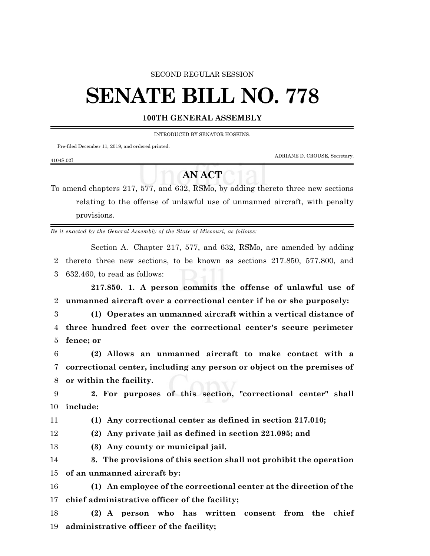### SECOND REGULAR SESSION

# **SENATE BILL NO. 778**

## **100TH GENERAL ASSEMBLY**

INTRODUCED BY SENATOR HOSKINS.

Pre-filed December 11, 2019, and ordered printed.

ADRIANE D. CROUSE, Secretary.

#### 4104S.02I

# **AN ACT**

To amend chapters 217, 577, and 632, RSMo, by adding thereto three new sections relating to the offense of unlawful use of unmanned aircraft, with penalty provisions.

*Be it enacted by the General Assembly of the State of Missouri, as follows:*

Section A. Chapter 217, 577, and 632, RSMo, are amended by adding 2 thereto three new sections, to be known as sections 217.850, 577.800, and 3 632.460, to read as follows:

**217.850. 1. A person commits the offense of unlawful use of** 2 **unmanned aircraft over a correctional center if he or she purposely:**

3 **(1) Operates an unmanned aircraft within a vertical distance of** 4 **three hundred feet over the correctional center's secure perimeter** 5 **fence; or**

6 **(2) Allows an unmanned aircraft to make contact with a** 7 **correctional center, including any person or object on the premises of** 8 **or within the facility.**

9 **2. For purposes of this section, "correctional center" shall** 10 **include:**

11 **(1) Any correctional center as defined in section 217.010;**

12 **(2) Any private jail as defined in section 221.095; and**

13 **(3) Any county or municipal jail.**

14 **3. The provisions of this section shall not prohibit the operation** 15 **of an unmanned aircraft by:**

16 **(1) An employee of the correctional center at the direction of the** 17 **chief administrative officer of the facility;**

18 **(2) A person who has written consent from the chief** 19 **administrative officer of the facility;**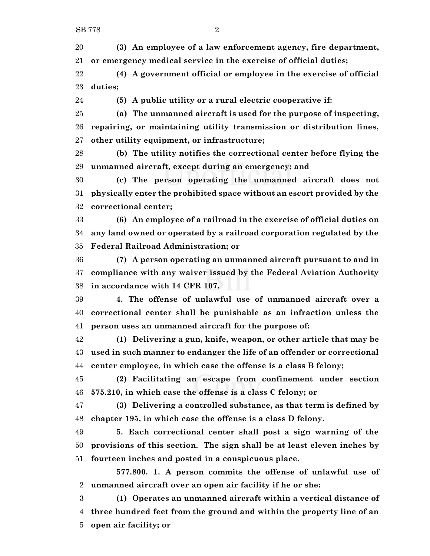**(3) An employee of a law enforcement agency, fire department, or emergency medical service in the exercise of official duties;**

 **(4) A government official or employee in the exercise of official duties;**

**(5) A public utility or a rural electric cooperative if:**

 **(a) The unmanned aircraft is used for the purpose of inspecting, repairing, or maintaining utility transmission or distribution lines, other utility equipment, or infrastructure;**

 **(b) The utility notifies the correctional center before flying the unmanned aircraft, except during an emergency; and**

 **(c) The person operating the unmanned aircraft does not physically enter the prohibited space without an escort provided by the correctional center;**

 **(6) An employee of a railroad in the exercise of official duties on any land owned or operated by a railroad corporation regulated by the Federal Railroad Administration; or**

 **(7) A person operating an unmanned aircraft pursuant to and in compliance with any waiver issued by the Federal Aviation Authority in accordance with 14 CFR 107.**

 **4. The offense of unlawful use of unmanned aircraft over a correctional center shall be punishable as an infraction unless the person uses an unmanned aircraft for the purpose of:**

 **(1) Delivering a gun, knife, weapon, or other article that may be used in such manner to endanger the life of an offender or correctional center employee, in which case the offense is a class B felony;**

 **(2) Facilitating an escape from confinement under section 575.210, in which case the offense is a class C felony; or**

 **(3) Delivering a controlled substance, as that term is defined by chapter 195, in which case the offense is a class D felony.**

 **5. Each correctional center shall post a sign warning of the provisions of this section. The sign shall be at least eleven inches by fourteen inches and posted in a conspicuous place.**

**577.800. 1. A person commits the offense of unlawful use of unmanned aircraft over an open air facility if he or she:**

 **(1) Operates an unmanned aircraft within a vertical distance of three hundred feet from the ground and within the property line of an open air facility; or**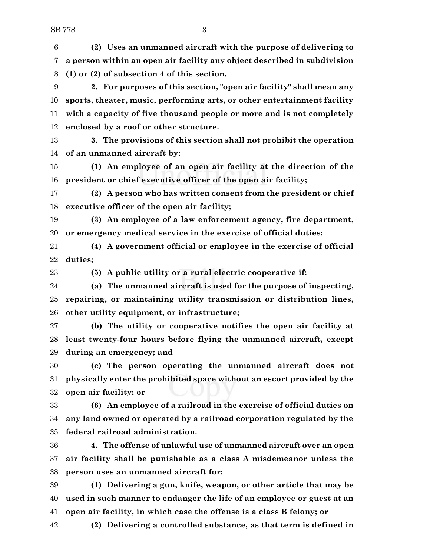**(2) Uses an unmanned aircraft with the purpose of delivering to a person within an open air facility any object described in subdivision (1) or (2) of subsection 4 of this section.**

 **2. For purposes of this section, "open air facility" shall mean any sports, theater, music, performing arts, or other entertainment facility with a capacity of five thousand people or more and is not completely enclosed by a roof or other structure.**

 **3. The provisions of this section shall not prohibit the operation of an unmanned aircraft by:**

 **(1) An employee of an open air facility at the direction of the president or chief executive officer of the open air facility;**

 **(2) A person who has written consent from the president or chief executive officer of the open air facility;**

 **(3) An employee of a law enforcement agency, fire department, or emergency medical service in the exercise of official duties;**

 **(4) A government official or employee in the exercise of official duties;**

**(5) A public utility or a rural electric cooperative if:**

 **(a) The unmanned aircraft is used for the purpose of inspecting, repairing, or maintaining utility transmission or distribution lines, other utility equipment, or infrastructure;**

 **(b) The utility or cooperative notifies the open air facility at least twenty-four hours before flying the unmanned aircraft, except during an emergency; and**

 **(c) The person operating the unmanned aircraft does not physically enter the prohibited space without an escort provided by the open air facility; or**

 **(6) An employee of a railroad in the exercise of official duties on any land owned or operated by a railroad corporation regulated by the federal railroad administration.**

 **4. The offense of unlawful use of unmanned aircraft over an open air facility shall be punishable as a class A misdemeanor unless the person uses an unmanned aircraft for:**

 **(1) Delivering a gun, knife, weapon, or other article that may be used in such manner to endanger the life of an employee or guest at an open air facility, in which case the offense is a class B felony; or**

**(2) Delivering a controlled substance, as that term is defined in**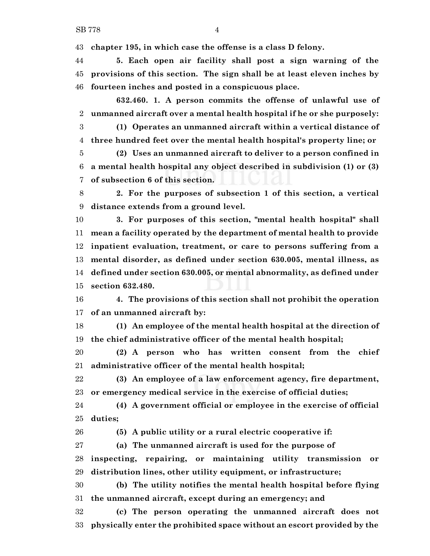**chapter 195, in which case the offense is a class D felony.**

 **5. Each open air facility shall post a sign warning of the provisions of this section. The sign shall be at least eleven inches by fourteen inches and posted in a conspicuous place.**

**632.460. 1. A person commits the offense of unlawful use of unmanned aircraft over a mental health hospital if he or she purposely:**

 **(1) Operates an unmanned aircraft within a vertical distance of three hundred feet over the mental health hospital's property line; or**

 **(2) Uses an unmanned aircraft to deliver to a person confined in a mental health hospital any object described in subdivision (1) or (3) of subsection 6 of this section.**

 **2. For the purposes of subsection 1 of this section, a vertical distance extends from a ground level.**

 **3. For purposes of this section, "mental health hospital" shall mean a facility operated by the department of mental health to provide inpatient evaluation, treatment, or care to persons suffering from a mental disorder, as defined under section 630.005, mental illness, as defined under section 630.005, or mental abnormality, as defined under section 632.480.**

 **4. The provisions of this section shall not prohibit the operation of an unmanned aircraft by:**

 **(1) An employee of the mental health hospital at the direction of the chief administrative officer of the mental health hospital;**

 **(2) A person who has written consent from the chief administrative officer of the mental health hospital;**

 **(3) An employee of a law enforcement agency, fire department, or emergency medical service in the exercise of official duties;**

 **(4) A government official or employee in the exercise of official duties;**

**(5) A public utility or a rural electric cooperative if:**

**(a) The unmanned aircraft is used for the purpose of**

 **inspecting, repairing, or maintaining utility transmission or distribution lines, other utility equipment, or infrastructure;**

 **(b) The utility notifies the mental health hospital before flying the unmanned aircraft, except during an emergency; and**

 **(c) The person operating the unmanned aircraft does not physically enter the prohibited space without an escort provided by the**